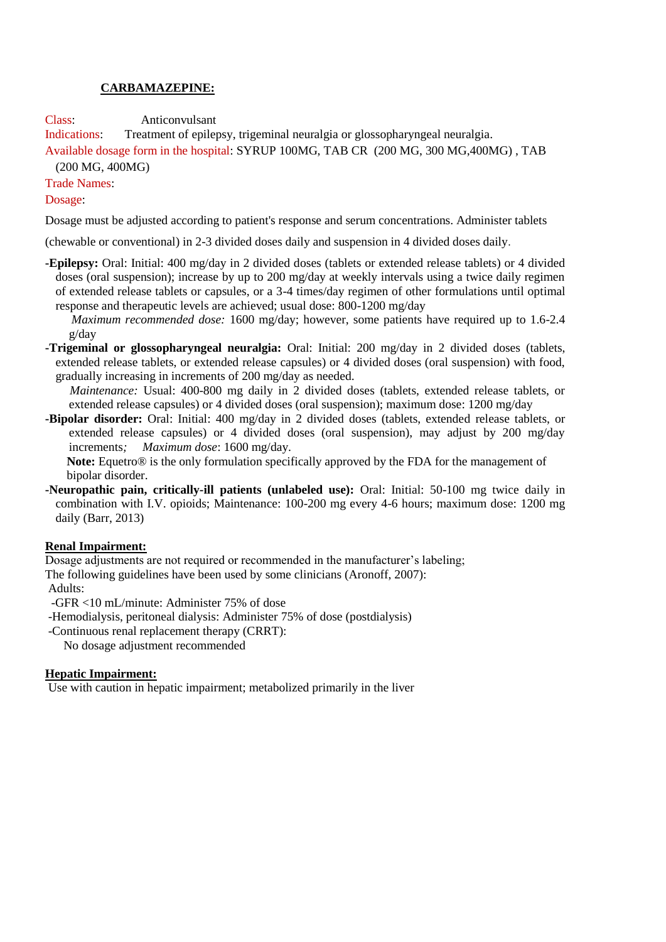## **CARBAMAZEPINE:**

Class: Anticonvulsant

Indications: Treatment of epilepsy, trigeminal neuralgia or glossopharyngeal neuralgia.

Available dosage form in the hospital: SYRUP 100MG, TAB CR (200 MG, 300 MG,400MG) , TAB

(200 MG, 400MG)

Trade Names:

Dosage:

Dosage must be adjusted according to patient's response and serum concentrations. Administer tablets

(chewable or conventional) in 2-3 divided doses daily and suspension in 4 divided doses daily.

**-Epilepsy:** Oral: Initial: 400 mg/day in 2 divided doses (tablets or extended release tablets) or 4 divided doses (oral suspension); increase by up to 200 mg/day at weekly intervals using a twice daily regimen of extended release tablets or capsules, or a 3-4 times/day regimen of other formulations until optimal response and therapeutic levels are achieved; usual dose: 800-1200 mg/day

 *Maximum recommended dose:* 1600 mg/day; however, some patients have required up to 1.6-2.4 g/day

**-Trigeminal or glossopharyngeal neuralgia:** Oral: Initial: 200 mg/day in 2 divided doses (tablets, extended release tablets, or extended release capsules) or 4 divided doses (oral suspension) with food, gradually increasing in increments of 200 mg/day as needed.

 *Maintenance:* Usual: 400-800 mg daily in 2 divided doses (tablets, extended release tablets, or extended release capsules) or 4 divided doses (oral suspension); maximum dose: 1200 mg/day

**-Bipolar disorder:** Oral: Initial: 400 mg/day in 2 divided doses (tablets, extended release tablets, or extended release capsules) or 4 divided doses (oral suspension), may adjust by 200 mg/day increments*; Maximum dose*: 1600 mg/day.

 **Note:** Equetro® is the only formulation specifically approved by the FDA for the management of bipolar disorder.

**-Neuropathic pain, critically-ill patients (unlabeled use):** Oral: Initial: 50-100 mg twice daily in combination with I.V. opioids; Maintenance: 100-200 mg every 4-6 hours; maximum dose: 1200 mg daily (Barr, 2013)

## **Renal Impairment:**

Dosage adjustments are not required or recommended in the manufacturer's labeling;

The following guidelines have been used by some clinicians (Aronoff, 2007): Adults:

-GFR <10 mL/minute: Administer 75% of dose

- -Hemodialysis, peritoneal dialysis: Administer 75% of dose (postdialysis)
- -Continuous renal replacement therapy (CRRT):

No dosage adjustment recommended

## **Hepatic Impairment:**

Use with caution in hepatic impairment; metabolized primarily in the liver